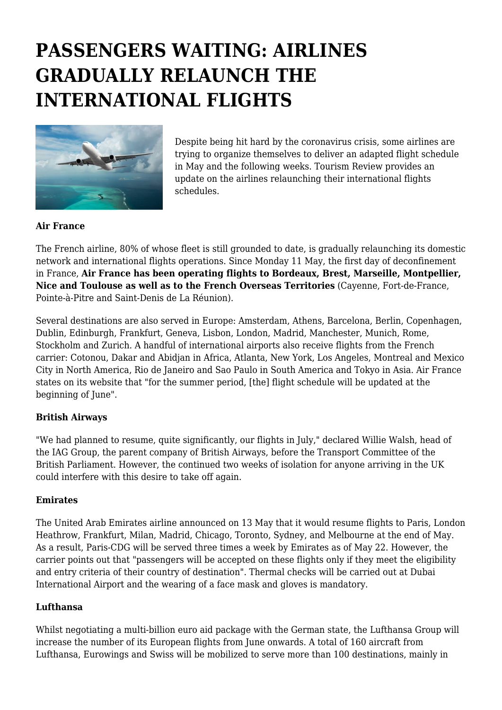# **PASSENGERS WAITING: AIRLINES GRADUALLY RELAUNCH THE INTERNATIONAL FLIGHTS**



Despite being hit hard by the coronavirus crisis, some airlines are trying to organize themselves to deliver an adapted flight schedule in May and the following weeks. Tourism Review provides an update on the airlines relaunching their international flights schedules.

# **Air France**

The French airline, 80% of whose fleet is still grounded to date, is gradually relaunching its domestic network and international flights operations. Since Monday 11 May, the first day of deconfinement in France, **Air France has been operating flights to Bordeaux, Brest, Marseille, Montpellier, Nice and Toulouse as well as to the French Overseas Territories** (Cayenne, Fort-de-France, Pointe-à-Pitre and Saint-Denis de La Réunion).

Several destinations are also served in Europe: Amsterdam, Athens, Barcelona, Berlin, Copenhagen, Dublin, Edinburgh, Frankfurt, Geneva, Lisbon, London, Madrid, Manchester, Munich, Rome, Stockholm and Zurich. A handful of international airports also receive flights from the French carrier: Cotonou, Dakar and Abidjan in Africa, Atlanta, New York, Los Angeles, Montreal and Mexico City in North America, Rio de Janeiro and Sao Paulo in South America and Tokyo in Asia. Air France states on its website that "for the summer period, [the] flight schedule will be updated at the beginning of June".

# **British Airways**

"We had planned to resume, quite significantly, our flights in July," declared Willie Walsh, head of the IAG Group, the parent company of British Airways, before the Transport Committee of the British Parliament. However, the continued two weeks of isolation for anyone arriving in the UK could interfere with this desire to take off again.

#### **Emirates**

The United Arab Emirates airline announced on 13 May that it would resume flights to Paris, London Heathrow, Frankfurt, Milan, Madrid, Chicago, Toronto, Sydney, and Melbourne at the end of May. As a result, Paris-CDG will be served three times a week by Emirates as of May 22. However, the carrier points out that "passengers will be accepted on these flights only if they meet the eligibility and entry criteria of their country of destination". Thermal checks will be carried out at Dubai International Airport and the wearing of a face mask and gloves is mandatory.

# **Lufthansa**

Whilst negotiating a multi-billion euro aid package with the German state, the Lufthansa Group will increase the number of its European flights from June onwards. A total of 160 aircraft from Lufthansa, Eurowings and Swiss will be mobilized to serve more than 100 destinations, mainly in